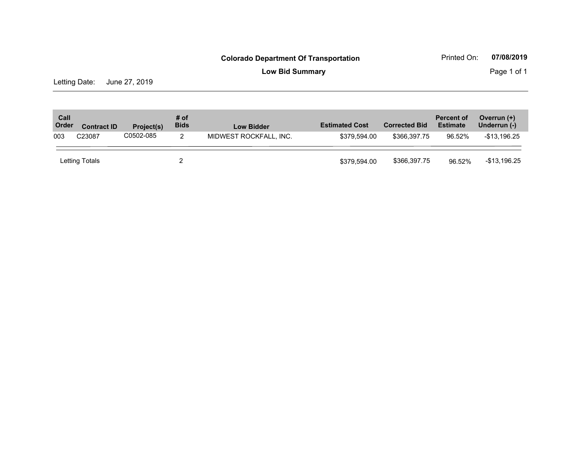**Low Bid Summary Page 1 of 1** 

Letting Date: June 27, 2019

| Call<br>Order              | # of<br><b>Bids</b><br>Project(s)<br><b>Contract ID</b> |   | <b>Low Bidder</b>      | <b>Estimated Cost</b> | <b>Corrected Bid</b> | <b>Percent of</b><br><b>Estimate</b> | Overrun (+)<br>Underrun (-) |              |
|----------------------------|---------------------------------------------------------|---|------------------------|-----------------------|----------------------|--------------------------------------|-----------------------------|--------------|
| C0502-085<br>C23087<br>003 |                                                         | 2 | MIDWEST ROCKFALL, INC. | \$379.594.00          | \$366.397.75         | 96.52%                               | $-$13,196.25$               |              |
|                            | Letting Totals                                          |   |                        |                       | \$379,594.00         | \$366,397.75                         | 96.52%                      | -\$13,196.25 |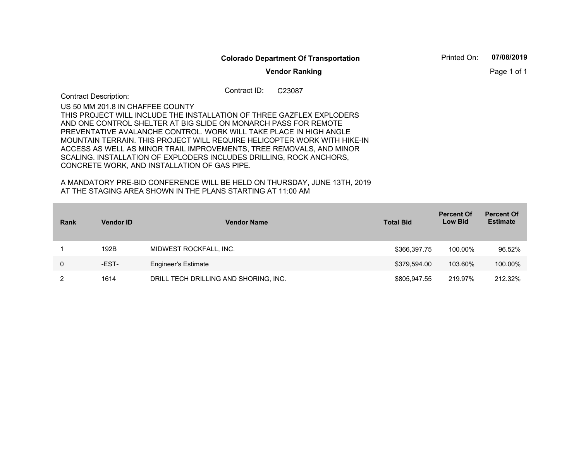|                                                                                  | <b>Colorado Department Of Transportation</b>                                                                                                                                                                                                                                                                                                                                                                                                                                                                                                                                          | Printed On:<br>07/08/2019 |
|----------------------------------------------------------------------------------|---------------------------------------------------------------------------------------------------------------------------------------------------------------------------------------------------------------------------------------------------------------------------------------------------------------------------------------------------------------------------------------------------------------------------------------------------------------------------------------------------------------------------------------------------------------------------------------|---------------------------|
|                                                                                  | Page 1 of 1                                                                                                                                                                                                                                                                                                                                                                                                                                                                                                                                                                           |                           |
| <b>Contract Description:</b>                                                     | Contract ID:<br>C <sub>23087</sub>                                                                                                                                                                                                                                                                                                                                                                                                                                                                                                                                                    |                           |
| US 50 MM 201.8 IN CHAFFEE COUNTY<br>CONCRETE WORK, AND INSTALLATION OF GAS PIPE. | THIS PROJECT WILL INCLUDE THE INSTALLATION OF THREE GAZFLEX EXPLODERS.<br>AND ONE CONTROL SHELTER AT BIG SLIDE ON MONARCH PASS FOR REMOTE<br>PREVENTATIVE AVALANCHE CONTROL. WORK WILL TAKE PLACE IN HIGH ANGLE<br>MOUNTAIN TERRAIN. THIS PROJECT WILL REQUIRE HELICOPTER WORK WITH HIKE-IN<br>ACCESS AS WELL AS MINOR TRAIL IMPROVEMENTS, TREE REMOVALS, AND MINOR<br>SCALING. INSTALLATION OF EXPLODERS INCLUDES DRILLING, ROCK ANCHORS,<br>A MANDATORY PRE-BID CONFERENCE WILL BE HELD ON THURSDAY, JUNE 13TH, 2019<br>AT THE STAGING AREA SHOWN IN THE PLANS STARTING AT 11:00 AM |                           |

| <b>Rank</b> | <b>Vendor ID</b> | <b>Vendor Name</b>                    | <b>Total Bid</b> | <b>Percent Of</b><br><b>Low Bid</b> | <b>Percent Of</b><br><b>Estimate</b> |
|-------------|------------------|---------------------------------------|------------------|-------------------------------------|--------------------------------------|
|             | 192B             | MIDWEST ROCKFALL, INC.                | \$366,397.75     | 100.00%                             | 96.52%                               |
| 0           | -EST-            | <b>Engineer's Estimate</b>            | \$379,594.00     | 103.60%                             | 100.00%                              |
|             | 1614             | DRILL TECH DRILLING AND SHORING, INC. | \$805,947.55     | 219.97%                             | 212.32%                              |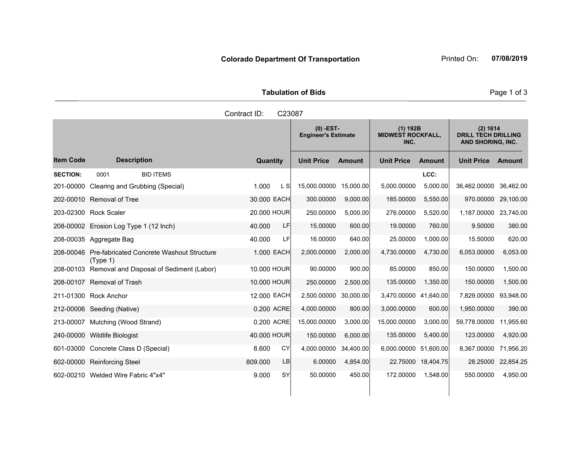**Tabulation of Bids**

|                  |                                                       | Contract ID:    | C23087 |                                           |               |                                                |               |                                                             |           |
|------------------|-------------------------------------------------------|-----------------|--------|-------------------------------------------|---------------|------------------------------------------------|---------------|-------------------------------------------------------------|-----------|
|                  |                                                       |                 |        | $(0)$ -EST-<br><b>Engineer's Estimate</b> |               | $(1)$ 192B<br><b>MIDWEST ROCKFALL,</b><br>INC. |               | (2) 1614<br><b>DRILL TECH DRILLING</b><br>AND SHORING, INC. |           |
| <b>Item Code</b> | <b>Description</b>                                    | <b>Quantity</b> |        | <b>Unit Price</b>                         | <b>Amount</b> | <b>Unit Price</b>                              | <b>Amount</b> | <b>Unit Price</b>                                           | Amount    |
| <b>SECTION:</b>  | <b>BID ITEMS</b><br>0001                              |                 |        |                                           |               |                                                | LCC:          |                                                             |           |
| 201-00000        | Clearing and Grubbing (Special)                       | 1.000           | L SI   | 15,000.00000                              | 15,000.00     | 5,000.00000                                    | 5,000.00      | 36,462.00000                                                | 36,462.00 |
|                  | 202-00010 Removal of Tree                             | 30.000 EACH     |        | 300.00000                                 | 9,000.00      | 185.00000                                      | 5,550.00      | 970.00000                                                   | 29,100.00 |
|                  | 203-02300 Rock Scaler                                 | 20.000 HOUR     |        | 250.00000                                 | 5,000.00      | 276.00000                                      | 5,520.00      | 1,187.00000                                                 | 23,740.00 |
|                  | 208-00002 Erosion Log Type 1 (12 Inch)                | 40.000          | LF     | 15.00000                                  | 600.00        | 19.00000                                       | 760.00        | 9.50000                                                     | 380.00    |
|                  | 208-00035 Aggregate Bag                               | 40.000          | LF     | 16.00000                                  | 640.00        | 25.00000                                       | 1,000.00      | 15.50000                                                    | 620.00    |
| 208-00046        | Pre-fabricated Concrete Washout Structure<br>(Type 1) | 1.000 EACH      |        | 2,000.00000                               | 2,000.00      | 4,730.00000                                    | 4,730.00      | 6,053.00000                                                 | 6,053.00  |
| 208-00103        | Removal and Disposal of Sediment (Labor)              | 10.000 HOUR     |        | 90.00000                                  | 900.00        | 85.00000                                       | 850.00        | 150.00000                                                   | 1,500.00  |
|                  | 208-00107 Removal of Trash                            | 10,000 HOUR     |        | 250.00000                                 | 2,500.00      | 135.00000                                      | 1,350.00      | 150.00000                                                   | 1,500.00  |
|                  | 211-01300 Rock Anchor                                 | 12.000 EACH     |        | 2,500.00000                               | 30.000.00     | 3,470.00000                                    | 41.640.00     | 7,829.00000                                                 | 93,948.00 |
|                  | 212-00006 Seeding (Native)                            | 0.200 ACRE      |        | 4,000.00000                               | 800.00        | 3,000.00000                                    | 600.00        | 1,950.00000                                                 | 390.00    |
|                  | 213-00007 Mulching (Wood Strand)                      | 0.200 ACRE      |        | 15.000.00000                              | 3,000.00      | 15,000.00000                                   | 3,000.00      | 59,778.00000                                                | 11,955.60 |

240-00000 Wildlife Biologist 40.000 HOUR 150.00000 6,000.00 135.00000 5,400.00 123.00000 4,920.00 601-03000 Concrete Class D (Special) 8.600 CY 4,000.00000 34,400.00 6,000.00000 51,600.00 8,367.00000 71,956.20 602-00000 Reinforcing Steel 809.000 LB 6.00000 4,854.00 22.75000 18,404.75 28.25000 22,854.25 602-00210 Welded Wire Fabric 4"x4" 9.000 SY 50.00000 450.00 172.00000 1,548.00 550.00000 4,950.00

# **Colorado Department Of Transportation** Printed On: 07/08/2019

Page 1 of 3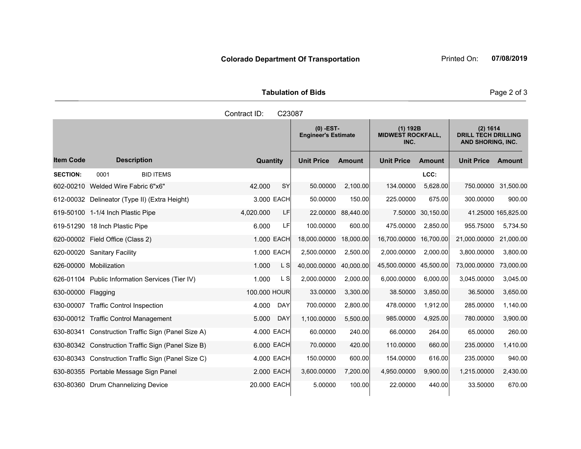|                     | <b>Tabulation of Bids</b> |
|---------------------|---------------------------|
| Contract ID: C23087 |                           |

|                    |                                               |                                                    |              |            | $(0)$ -EST-<br><b>Engineer's Estimate</b> |               | $(1)$ 192B<br><b>MIDWEST ROCKFALL,</b><br>INC. |                   | (2) 1614<br><b>DRILL TECH DRILLING</b><br>AND SHORING, INC. |                     |
|--------------------|-----------------------------------------------|----------------------------------------------------|--------------|------------|-------------------------------------------|---------------|------------------------------------------------|-------------------|-------------------------------------------------------------|---------------------|
| <b>Item Code</b>   | <b>Description</b>                            |                                                    | Quantity     |            | <b>Unit Price</b>                         | <b>Amount</b> | <b>Unit Price</b>                              | <b>Amount</b>     | <b>Unit Price</b>                                           | <b>Amount</b>       |
| <b>SECTION:</b>    | 0001                                          | <b>BID ITEMS</b>                                   |              |            |                                           |               |                                                | LCC:              |                                                             |                     |
|                    | 602-00210 Welded Wire Fabric 6"x6"            |                                                    | 42.000       | <b>SY</b>  | 50.00000                                  | 2,100.00      | 134.00000                                      | 5,628.00          |                                                             | 750.00000 31,500.00 |
|                    | 612-00032 Delineator (Type II) (Extra Height) |                                                    |              | 3.000 EACH | 50.00000                                  | 150.00        | 225.00000                                      | 675.00            | 300.00000                                                   | 900.00              |
|                    | 619-50100 1-1/4 Inch Plastic Pipe             |                                                    | 4.020.000    | LF         | 22.00000                                  | 88,440.00     |                                                | 7.50000 30,150.00 |                                                             | 41.25000 165,825.00 |
|                    | 619-51290 18 Inch Plastic Pipe                |                                                    | 6.000        | LFI        | 100.00000                                 | 600.00        | 475.00000                                      | 2,850.00          | 955.75000                                                   | 5,734.50            |
|                    | 620-00002 Field Office (Class 2)              |                                                    |              | 1.000 EACH | 18,000.00000                              | 18,000.00     | 16,700,00000                                   | 16,700.00         | 21,000.00000                                                | 21,000.00           |
|                    | 620-00020 Sanitary Facility                   |                                                    |              | 1.000 EACH | 2,500.00000                               | 2,500.00      | 2,000.00000                                    | 2,000.00          | 3.800.00000                                                 | 3,800.00            |
|                    | 626-00000 Mobilization                        |                                                    | 1.000        | L S        | 40,000.00000                              | 40,000.00     | 45,500.00000                                   | 45,500.00         | 73,000.00000                                                | 73,000.00           |
|                    |                                               | 626-01104 Public Information Services (Tier IV)    | 1.000        | L S        | 2,000.00000                               | 2,000.00      | 6,000.00000                                    | 6,000.00          | 3,045.00000                                                 | 3,045.00            |
| 630-00000 Flagging |                                               |                                                    | 100.000 HOUR |            | 33.00000                                  | 3,300.00      | 38.50000                                       | 3,850.00          | 36.50000                                                    | 3,650.00            |
|                    | 630-00007 Traffic Control Inspection          |                                                    | 4.000        | <b>DAY</b> | 700.00000                                 | 2,800.00      | 478.00000                                      | 1,912.00          | 285.00000                                                   | 1,140.00            |
|                    | 630-00012 Traffic Control Management          |                                                    | 5.000        | <b>DAY</b> | 1,100.00000                               | 5,500.00      | 985.00000                                      | 4,925.00          | 780.00000                                                   | 3,900.00            |
| 630-80341          |                                               | Construction Traffic Sign (Panel Size A)           |              | 4.000 EACH | 60.00000                                  | 240.00        | 66.00000                                       | 264.00            | 65.00000                                                    | 260.00              |
|                    |                                               | 630-80342 Construction Traffic Sign (Panel Size B) |              | 6.000 EACH | 70.00000                                  | 420.00        | 110.00000                                      | 660.00            | 235.00000                                                   | 1,410.00            |
|                    |                                               | 630-80343 Construction Traffic Sign (Panel Size C) |              | 4.000 EACH | 150.00000                                 | 600.00        | 154.00000                                      | 616.00            | 235.00000                                                   | 940.00              |
|                    | 630-80355 Portable Message Sign Panel         |                                                    |              | 2.000 EACH | 3,600.00000                               | 7,200.00      | 4,950.00000                                    | 9,900.00          | 1,215.00000                                                 | 2,430.00            |
|                    | 630-80360 Drum Channelizing Device            |                                                    | 20.000 EACH  |            | 5.00000                                   | 100.00        | 22.00000                                       | 440.00            | 33.50000                                                    | 670.00              |

Page 2 of 3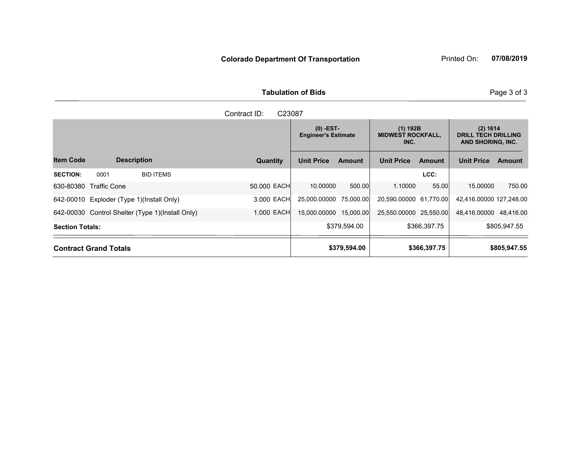**Tabulation of Bids**

|                        | Contract ID:<br>C <sub>23087</sub>        |                                                  |             |                                           |               |                                                |               |                                                             |               |  |  |
|------------------------|-------------------------------------------|--------------------------------------------------|-------------|-------------------------------------------|---------------|------------------------------------------------|---------------|-------------------------------------------------------------|---------------|--|--|
|                        |                                           |                                                  |             | $(0)$ -EST-<br><b>Engineer's Estimate</b> |               | $(1)$ 192B<br><b>MIDWEST ROCKFALL,</b><br>INC. |               | (2) 1614<br><b>DRILL TECH DRILLING</b><br>AND SHORING, INC. |               |  |  |
| <b>Item Code</b>       | <b>Description</b>                        |                                                  | Quantity    | <b>Unit Price</b>                         | <b>Amount</b> | <b>Unit Price</b>                              | <b>Amount</b> | <b>Unit Price</b>                                           | <b>Amount</b> |  |  |
| <b>SECTION:</b>        | 0001                                      | <b>BID ITEMS</b>                                 |             |                                           |               |                                                | LCC:          |                                                             |               |  |  |
| 630-80380              | Traffic Cone                              |                                                  | 50,000 EACH | 10.00000                                  | 500.00        | 1.10000                                        | 55.00         | 15.00000                                                    | 750.00        |  |  |
|                        | 642-00010 Exploder (Type 1)(Install Only) |                                                  | 3.000 EACH  | 25,000.00000                              | 75.000.00     | 20,590,00000 61,770.00                         |               | 42,416.00000 127,248.00                                     |               |  |  |
|                        |                                           | 642-00030 Control Shelter (Type 1)(Install Only) | 1.000 EACH  | 15,000.00000                              | 15,000.00     | 25,550.00000 25,550.00                         |               | 48,416.00000 48,416.00                                      |               |  |  |
| <b>Section Totals:</b> |                                           |                                                  |             |                                           | \$379,594.00  |                                                | \$366,397.75  |                                                             | \$805,947.55  |  |  |
|                        | <b>Contract Grand Totals</b>              |                                                  |             |                                           | \$379,594.00  |                                                | \$366,397.75  |                                                             | \$805,947.55  |  |  |

Page 3 of 3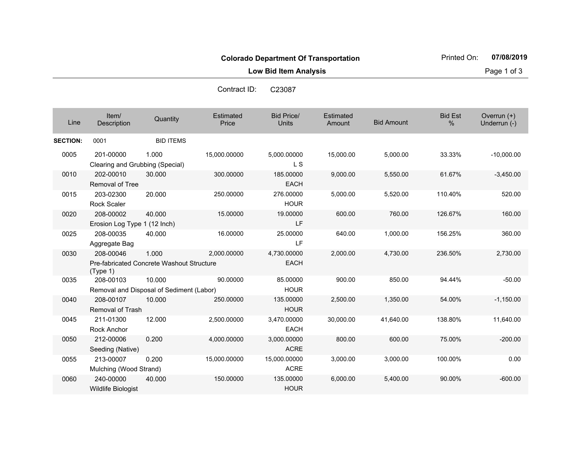**Low Bid Item Analysis Page 1 of 3** 

| Line            | Item/<br>Description                         | Quantity                                           | Estimated<br>Price | <b>Bid Price/</b><br>Units  | <b>Estimated</b><br>Amount | <b>Bid Amount</b> | <b>Bid Est</b><br>% | Overrun $(+)$<br>Underrun (-) |
|-----------------|----------------------------------------------|----------------------------------------------------|--------------------|-----------------------------|----------------------------|-------------------|---------------------|-------------------------------|
| <b>SECTION:</b> | 0001                                         | <b>BID ITEMS</b>                                   |                    |                             |                            |                   |                     |                               |
| 0005            | 201-00000<br>Clearing and Grubbing (Special) | 1.000                                              | 15,000.00000       | 5,000.00000<br>L S          | 15,000.00                  | 5,000.00          | 33.33%              | $-10,000.00$                  |
| 0010            | 202-00010<br><b>Removal of Tree</b>          | 30.000                                             | 300.00000          | 185.00000<br><b>EACH</b>    | 9,000.00                   | 5,550.00          | 61.67%              | $-3,450.00$                   |
| 0015            | 203-02300<br><b>Rock Scaler</b>              | 20.000                                             | 250.00000          | 276.00000<br><b>HOUR</b>    | 5,000.00                   | 5,520.00          | 110.40%             | 520.00                        |
| 0020            | 208-00002<br>Erosion Log Type 1 (12 Inch)    | 40.000                                             | 15.00000           | 19.00000<br>LF              | 600.00                     | 760.00            | 126.67%             | 160.00                        |
| 0025            | 208-00035<br>Aggregate Bag                   | 40.000                                             | 16.00000           | 25.00000<br>LF              | 640.00                     | 1,000.00          | 156.25%             | 360.00                        |
| 0030            | 208-00046<br>(Type 1)                        | 1.000<br>Pre-fabricated Concrete Washout Structure | 2,000.00000        | 4,730,00000<br><b>EACH</b>  | 2,000.00                   | 4,730.00          | 236.50%             | 2,730.00                      |
| 0035            | 208-00103                                    | 10.000<br>Removal and Disposal of Sediment (Labor) | 90.00000           | 85.00000<br><b>HOUR</b>     | 900.00                     | 850.00            | 94.44%              | $-50.00$                      |
| 0040            | 208-00107<br><b>Removal of Trash</b>         | 10.000                                             | 250.00000          | 135.00000<br><b>HOUR</b>    | 2,500.00                   | 1,350.00          | 54.00%              | $-1,150.00$                   |
| 0045            | 211-01300<br><b>Rock Anchor</b>              | 12.000                                             | 2,500.00000        | 3,470.00000<br><b>EACH</b>  | 30,000.00                  | 41,640.00         | 138.80%             | 11,640.00                     |
| 0050            | 212-00006<br>Seeding (Native)                | 0.200                                              | 4,000.00000        | 3,000.00000<br><b>ACRE</b>  | 800.00                     | 600.00            | 75.00%              | $-200.00$                     |
| 0055            | 213-00007<br>Mulching (Wood Strand)          | 0.200                                              | 15,000.00000       | 15.000.00000<br><b>ACRE</b> | 3,000.00                   | 3,000.00          | 100.00%             | 0.00                          |
| 0060            | 240-00000<br>Wildlife Biologist              | 40.000                                             | 150.00000          | 135.00000<br><b>HOUR</b>    | 6,000.00                   | 5,400.00          | 90.00%              | $-600.00$                     |

Contract ID:C23087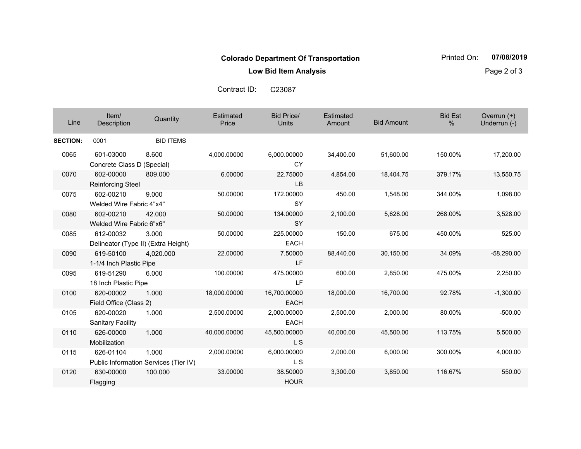**Low Bid Item Analysis Page 2 of 3** 

| Line            | Item/<br>Description                  | Quantity                                       | Estimated<br>Price | <b>Bid Price/</b><br><b>Units</b> | Estimated<br>Amount | <b>Bid Amount</b> | <b>Bid Est</b><br>% | Overrun $(+)$<br>Underrun (-) |
|-----------------|---------------------------------------|------------------------------------------------|--------------------|-----------------------------------|---------------------|-------------------|---------------------|-------------------------------|
| <b>SECTION:</b> | 0001                                  | <b>BID ITEMS</b>                               |                    |                                   |                     |                   |                     |                               |
| 0065            | 601-03000                             | 8.600                                          | 4,000.00000        | 6,000.00000                       | 34,400.00           | 51,600.00         | 150.00%             | 17,200.00                     |
|                 | Concrete Class D (Special)            |                                                |                    | CY                                |                     |                   |                     |                               |
| 0070            | 602-00000<br><b>Reinforcing Steel</b> | 809.000                                        | 6.00000            | 22.75000<br><b>LB</b>             | 4,854.00            | 18,404.75         | 379.17%             | 13,550.75                     |
| 0075            | 602-00210<br>Welded Wire Fabric 4"x4" | 9.000                                          | 50.00000           | 172.00000<br><b>SY</b>            | 450.00              | 1,548.00          | 344.00%             | 1,098.00                      |
| 0080            | 602-00210<br>Welded Wire Fabric 6"x6" | 42.000                                         | 50.00000           | 134.00000<br><b>SY</b>            | 2,100.00            | 5,628.00          | 268.00%             | 3,528.00                      |
| 0085            | 612-00032                             | 3.000<br>Delineator (Type II) (Extra Height)   | 50.00000           | 225.00000<br><b>EACH</b>          | 150.00              | 675.00            | 450.00%             | 525.00                        |
| 0090            | 619-50100<br>1-1/4 Inch Plastic Pipe  | 4.020.000                                      | 22.00000           | 7.50000<br>LF                     | 88,440.00           | 30,150.00         | 34.09%              | $-58,290.00$                  |
| 0095            | 619-51290<br>18 Inch Plastic Pipe     | 6.000                                          | 100.00000          | 475.00000<br>LF                   | 600.00              | 2,850.00          | 475.00%             | 2,250.00                      |
| 0100            | 620-00002<br>Field Office (Class 2)   | 1.000                                          | 18,000.00000       | 16,700.00000<br><b>EACH</b>       | 18,000.00           | 16,700.00         | 92.78%              | $-1,300.00$                   |
| 0105            | 620-00020<br><b>Sanitary Facility</b> | 1.000                                          | 2,500.00000        | 2,000.00000<br><b>EACH</b>        | 2,500.00            | 2,000.00          | 80.00%              | $-500.00$                     |
| 0110            | 626-00000<br>Mobilization             | 1.000                                          | 40,000.00000       | 45,500.00000<br>L <sub>S</sub>    | 40,000.00           | 45,500.00         | 113.75%             | 5,500.00                      |
| 0115            | 626-01104                             | 1.000<br>Public Information Services (Tier IV) | 2,000.00000        | 6,000.00000<br>L S                | 2,000.00            | 6,000.00          | 300.00%             | 4,000.00                      |
| 0120            | 630-00000<br>Flagging                 | 100.000                                        | 33.00000           | 38.50000<br><b>HOUR</b>           | 3,300.00            | 3,850.00          | 116.67%             | 550.00                        |

Contract ID:C23087